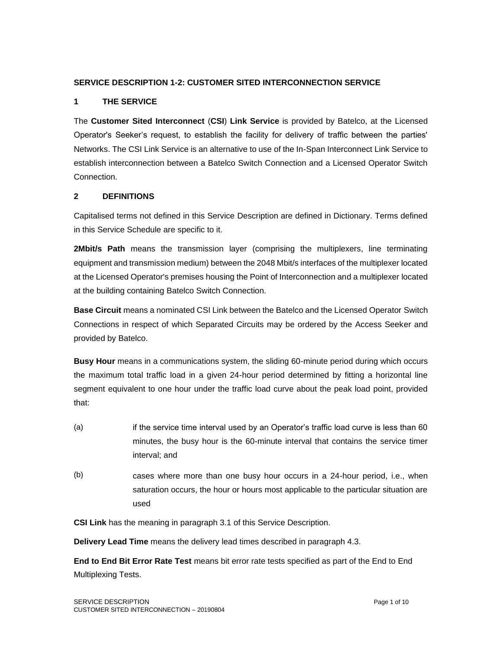### **SERVICE DESCRIPTION 1-2: CUSTOMER SITED INTERCONNECTION SERVICE**

### **1 THE SERVICE**

The **Customer Sited Interconnect** (**CSI**) **Link Service** is provided by Batelco, at the Licensed Operator's Seeker's request, to establish the facility for delivery of traffic between the parties' Networks. The CSI Link Service is an alternative to use of the In-Span Interconnect Link Service to establish interconnection between a Batelco Switch Connection and a Licensed Operator Switch Connection.

### **2 DEFINITIONS**

Capitalised terms not defined in this Service Description are defined in Dictionary. Terms defined in this Service Schedule are specific to it.

**2Mbit/s Path** means the transmission layer (comprising the multiplexers, line terminating equipment and transmission medium) between the 2048 Mbit/s interfaces of the multiplexer located at the Licensed Operator's premises housing the Point of Interconnection and a multiplexer located at the building containing Batelco Switch Connection.

**Base Circuit** means a nominated CSI Link between the Batelco and the Licensed Operator Switch Connections in respect of which Separated Circuits may be ordered by the Access Seeker and provided by Batelco.

**Busy Hour** means in a communications system, the sliding 60-minute period during which occurs the maximum total traffic load in a given 24-hour period determined by fitting a horizontal line segment equivalent to one hour under the traffic load curve about the peak load point, provided that:

- (a) if the service time interval used by an Operator's traffic load curve is less than 60 minutes, the busy hour is the 60-minute interval that contains the service timer interval; and
- (b) cases where more than one busy hour occurs in a 24-hour period, i.e., when saturation occurs, the hour or hours most applicable to the particular situation are used

**CSI Link** has the meaning in paragraph 3.1 of this Service Description.

**Delivery Lead Time** means the delivery lead times described in paragraph 4.3.

**End to End Bit Error Rate Test** means bit error rate tests specified as part of the End to End Multiplexing Tests.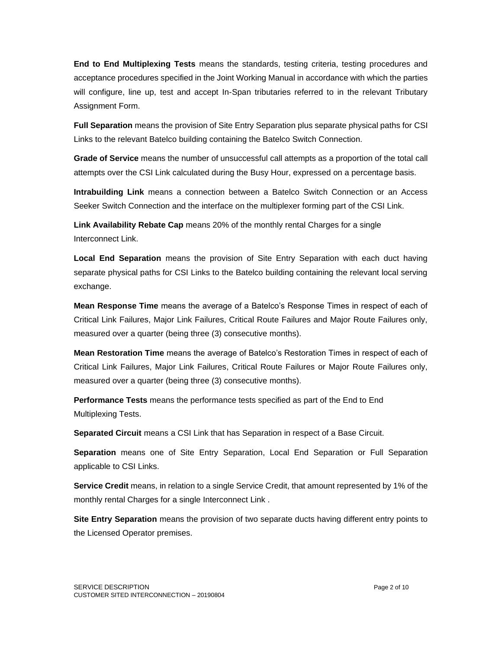**End to End Multiplexing Tests** means the standards, testing criteria, testing procedures and acceptance procedures specified in the Joint Working Manual in accordance with which the parties will configure, line up, test and accept In-Span tributaries referred to in the relevant Tributary Assignment Form.

**Full Separation** means the provision of Site Entry Separation plus separate physical paths for CSI Links to the relevant Batelco building containing the Batelco Switch Connection.

**Grade of Service** means the number of unsuccessful call attempts as a proportion of the total call attempts over the CSI Link calculated during the Busy Hour, expressed on a percentage basis.

**Intrabuilding Link** means a connection between a Batelco Switch Connection or an Access Seeker Switch Connection and the interface on the multiplexer forming part of the CSI Link.

**Link Availability Rebate Cap** means 20% of the monthly rental Charges for a single Interconnect Link.

**Local End Separation** means the provision of Site Entry Separation with each duct having separate physical paths for CSI Links to the Batelco building containing the relevant local serving exchange.

**Mean Response Time** means the average of a Batelco's Response Times in respect of each of Critical Link Failures, Major Link Failures, Critical Route Failures and Major Route Failures only, measured over a quarter (being three (3) consecutive months).

**Mean Restoration Time** means the average of Batelco's Restoration Times in respect of each of Critical Link Failures, Major Link Failures, Critical Route Failures or Major Route Failures only, measured over a quarter (being three (3) consecutive months).

**Performance Tests** means the performance tests specified as part of the End to End Multiplexing Tests.

**Separated Circuit** means a CSI Link that has Separation in respect of a Base Circuit.

**Separation** means one of Site Entry Separation, Local End Separation or Full Separation applicable to CSI Links.

**Service Credit** means, in relation to a single Service Credit, that amount represented by 1% of the monthly rental Charges for a single Interconnect Link .

**Site Entry Separation** means the provision of two separate ducts having different entry points to the Licensed Operator premises.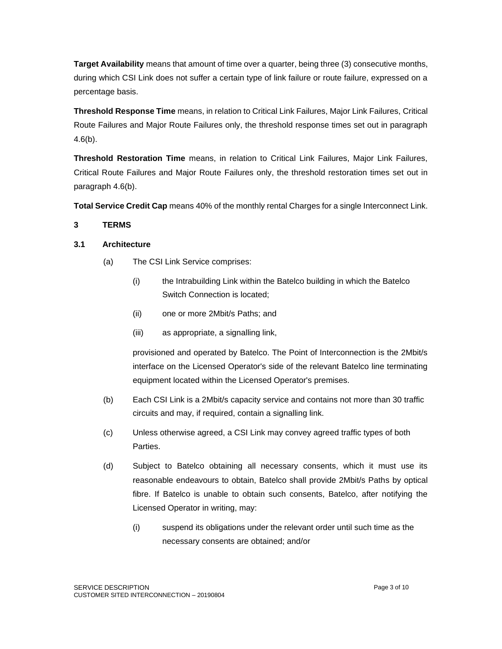**Target Availability** means that amount of time over a quarter, being three (3) consecutive months, during which CSI Link does not suffer a certain type of link failure or route failure, expressed on a percentage basis.

**Threshold Response Time** means, in relation to Critical Link Failures, Major Link Failures, Critical Route Failures and Major Route Failures only, the threshold response times set out in paragraph  $4.6(b)$ .

**Threshold Restoration Time** means, in relation to Critical Link Failures, Major Link Failures, Critical Route Failures and Major Route Failures only, the threshold restoration times set out in paragraph 4.6(b).

**Total Service Credit Cap** means 40% of the monthly rental Charges for a single Interconnect Link.

# **3 TERMS**

# **3.1 Architecture**

- (a) The CSI Link Service comprises:
	- (i) the Intrabuilding Link within the Batelco building in which the Batelco Switch Connection is located;
	- (ii) one or more 2Mbit/s Paths; and
	- (iii) as appropriate, a signalling link,

provisioned and operated by Batelco. The Point of Interconnection is the 2Mbit/s interface on the Licensed Operator's side of the relevant Batelco line terminating equipment located within the Licensed Operator's premises.

- (b) Each CSI Link is a 2Mbit/s capacity service and contains not more than 30 traffic circuits and may, if required, contain a signalling link.
- (c) Unless otherwise agreed, a CSI Link may convey agreed traffic types of both Parties.
- (d) Subject to Batelco obtaining all necessary consents, which it must use its reasonable endeavours to obtain, Batelco shall provide 2Mbit/s Paths by optical fibre. If Batelco is unable to obtain such consents, Batelco, after notifying the Licensed Operator in writing, may:
	- (i) suspend its obligations under the relevant order until such time as the necessary consents are obtained; and/or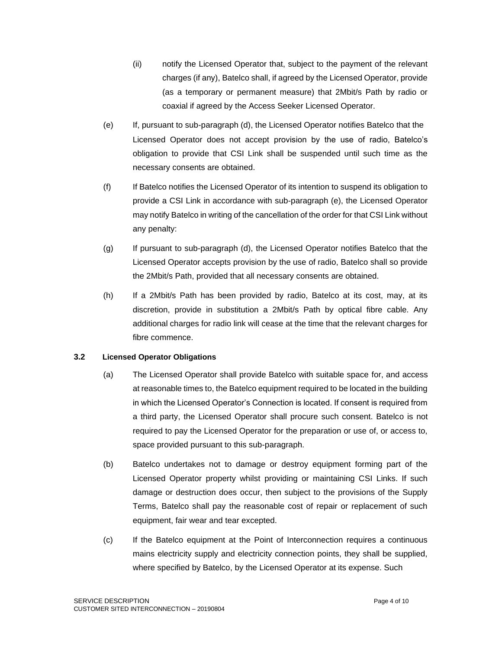- (ii) notify the Licensed Operator that, subject to the payment of the relevant charges (if any), Batelco shall, if agreed by the Licensed Operator, provide (as a temporary or permanent measure) that 2Mbit/s Path by radio or coaxial if agreed by the Access Seeker Licensed Operator.
- (e) If, pursuant to sub-paragraph (d), the Licensed Operator notifies Batelco that the Licensed Operator does not accept provision by the use of radio, Batelco's obligation to provide that CSI Link shall be suspended until such time as the necessary consents are obtained.
- (f) If Batelco notifies the Licensed Operator of its intention to suspend its obligation to provide a CSI Link in accordance with sub-paragraph (e), the Licensed Operator may notify Batelco in writing of the cancellation of the order for that CSI Link without any penalty:
- (g) If pursuant to sub-paragraph (d), the Licensed Operator notifies Batelco that the Licensed Operator accepts provision by the use of radio, Batelco shall so provide the 2Mbit/s Path, provided that all necessary consents are obtained.
- (h) If a 2Mbit/s Path has been provided by radio, Batelco at its cost, may, at its discretion, provide in substitution a 2Mbit/s Path by optical fibre cable. Any additional charges for radio link will cease at the time that the relevant charges for fibre commence.

#### **3.2 Licensed Operator Obligations**

- (a) The Licensed Operator shall provide Batelco with suitable space for, and access at reasonable times to, the Batelco equipment required to be located in the building in which the Licensed Operator's Connection is located. If consent is required from a third party, the Licensed Operator shall procure such consent. Batelco is not required to pay the Licensed Operator for the preparation or use of, or access to, space provided pursuant to this sub-paragraph.
- (b) Batelco undertakes not to damage or destroy equipment forming part of the Licensed Operator property whilst providing or maintaining CSI Links. If such damage or destruction does occur, then subject to the provisions of the Supply Terms, Batelco shall pay the reasonable cost of repair or replacement of such equipment, fair wear and tear excepted.
- (c) If the Batelco equipment at the Point of Interconnection requires a continuous mains electricity supply and electricity connection points, they shall be supplied, where specified by Batelco, by the Licensed Operator at its expense. Such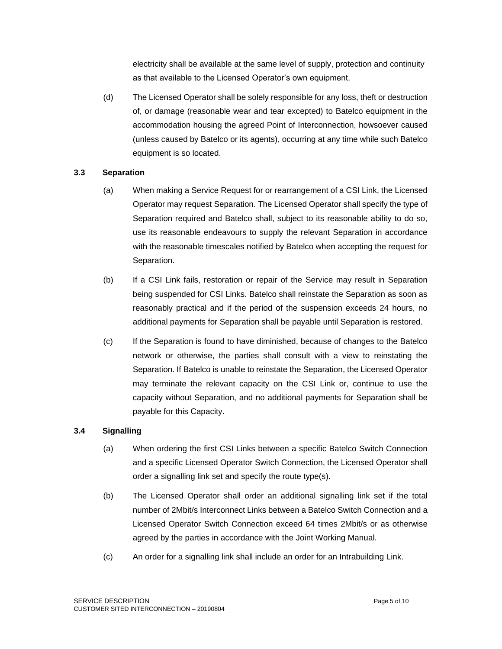electricity shall be available at the same level of supply, protection and continuity as that available to the Licensed Operator's own equipment.

(d) The Licensed Operator shall be solely responsible for any loss, theft or destruction of, or damage (reasonable wear and tear excepted) to Batelco equipment in the accommodation housing the agreed Point of Interconnection, howsoever caused (unless caused by Batelco or its agents), occurring at any time while such Batelco equipment is so located.

# **3.3 Separation**

- (a) When making a Service Request for or rearrangement of a CSI Link, the Licensed Operator may request Separation. The Licensed Operator shall specify the type of Separation required and Batelco shall, subject to its reasonable ability to do so, use its reasonable endeavours to supply the relevant Separation in accordance with the reasonable timescales notified by Batelco when accepting the request for Separation.
- (b) If a CSI Link fails, restoration or repair of the Service may result in Separation being suspended for CSI Links. Batelco shall reinstate the Separation as soon as reasonably practical and if the period of the suspension exceeds 24 hours, no additional payments for Separation shall be payable until Separation is restored.
- (c) If the Separation is found to have diminished, because of changes to the Batelco network or otherwise, the parties shall consult with a view to reinstating the Separation. If Batelco is unable to reinstate the Separation, the Licensed Operator may terminate the relevant capacity on the CSI Link or, continue to use the capacity without Separation, and no additional payments for Separation shall be payable for this Capacity.

# **3.4 Signalling**

- (a) When ordering the first CSI Links between a specific Batelco Switch Connection and a specific Licensed Operator Switch Connection, the Licensed Operator shall order a signalling link set and specify the route type(s).
- (b) The Licensed Operator shall order an additional signalling link set if the total number of 2Mbit/s Interconnect Links between a Batelco Switch Connection and a Licensed Operator Switch Connection exceed 64 times 2Mbit/s or as otherwise agreed by the parties in accordance with the Joint Working Manual.
- (c) An order for a signalling link shall include an order for an Intrabuilding Link.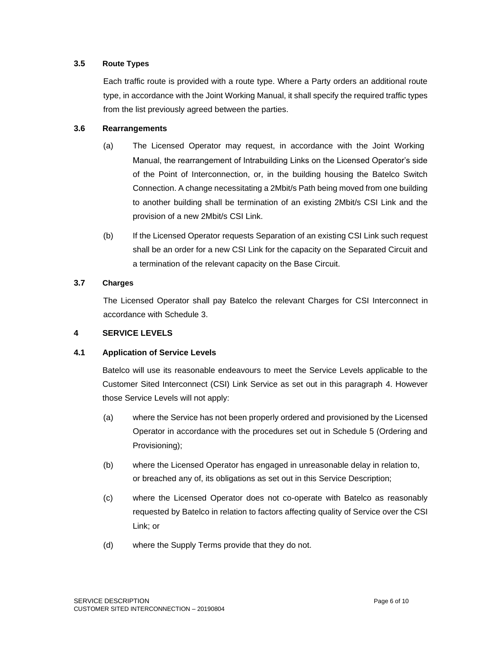# **3.5 Route Types**

Each traffic route is provided with a route type. Where a Party orders an additional route type, in accordance with the Joint Working Manual, it shall specify the required traffic types from the list previously agreed between the parties.

### **3.6 Rearrangements**

- (a) The Licensed Operator may request, in accordance with the Joint Working Manual, the rearrangement of Intrabuilding Links on the Licensed Operator's side of the Point of Interconnection, or, in the building housing the Batelco Switch Connection. A change necessitating a 2Mbit/s Path being moved from one building to another building shall be termination of an existing 2Mbit/s CSI Link and the provision of a new 2Mbit/s CSI Link.
- (b) If the Licensed Operator requests Separation of an existing CSI Link such request shall be an order for a new CSI Link for the capacity on the Separated Circuit and a termination of the relevant capacity on the Base Circuit.

#### **3.7 Charges**

The Licensed Operator shall pay Batelco the relevant Charges for CSI Interconnect in accordance with Schedule 3.

# **4 SERVICE LEVELS**

# **4.1 Application of Service Levels**

Batelco will use its reasonable endeavours to meet the Service Levels applicable to the Customer Sited Interconnect (CSI) Link Service as set out in this paragraph 4. However those Service Levels will not apply:

- (a) where the Service has not been properly ordered and provisioned by the Licensed Operator in accordance with the procedures set out in Schedule 5 (Ordering and Provisioning);
- (b) where the Licensed Operator has engaged in unreasonable delay in relation to, or breached any of, its obligations as set out in this Service Description;
- (c) where the Licensed Operator does not co-operate with Batelco as reasonably requested by Batelco in relation to factors affecting quality of Service over the CSI Link; or
- (d) where the Supply Terms provide that they do not.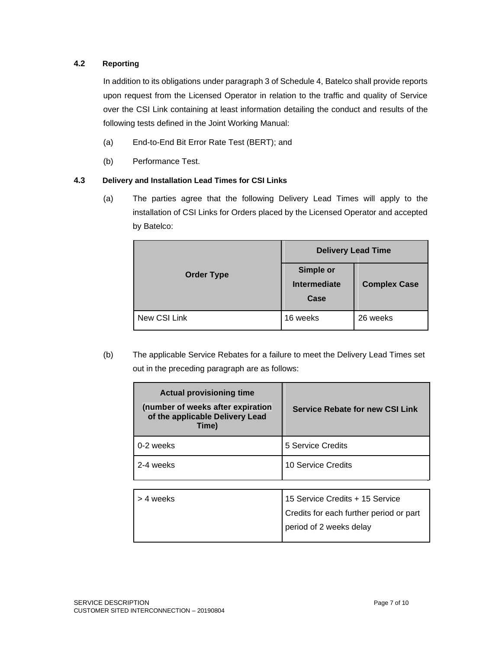# **4.2 Reporting**

In addition to its obligations under paragraph 3 of Schedule 4, Batelco shall provide reports upon request from the Licensed Operator in relation to the traffic and quality of Service over the CSI Link containing at least information detailing the conduct and results of the following tests defined in the Joint Working Manual:

- (a) End-to-End Bit Error Rate Test (BERT); and
- (b) Performance Test.

# **4.3 Delivery and Installation Lead Times for CSI Links**

(a) The parties agree that the following Delivery Lead Times will apply to the installation of CSI Links for Orders placed by the Licensed Operator and accepted by Batelco:

|                   | <b>Delivery Lead Time</b>         |                     |  |
|-------------------|-----------------------------------|---------------------|--|
| <b>Order Type</b> | Simple or<br>Intermediate<br>Case | <b>Complex Case</b> |  |
| New CSI Link      | 16 weeks                          | 26 weeks            |  |

(b) The applicable Service Rebates for a failure to meet the Delivery Lead Times set out in the preceding paragraph are as follows:

| <b>Actual provisioning time</b><br>(number of weeks after expiration<br>of the applicable Delivery Lead<br>Time) | <b>Service Rebate for new CSI Link</b>  |
|------------------------------------------------------------------------------------------------------------------|-----------------------------------------|
| 0-2 weeks                                                                                                        | 5 Service Credits                       |
| 2-4 weeks                                                                                                        | 10 Service Credits                      |
|                                                                                                                  |                                         |
| > 4 weeks                                                                                                        | 15 Service Credits + 15 Service         |
|                                                                                                                  | Credits for each further period or part |
|                                                                                                                  | period of 2 weeks delay                 |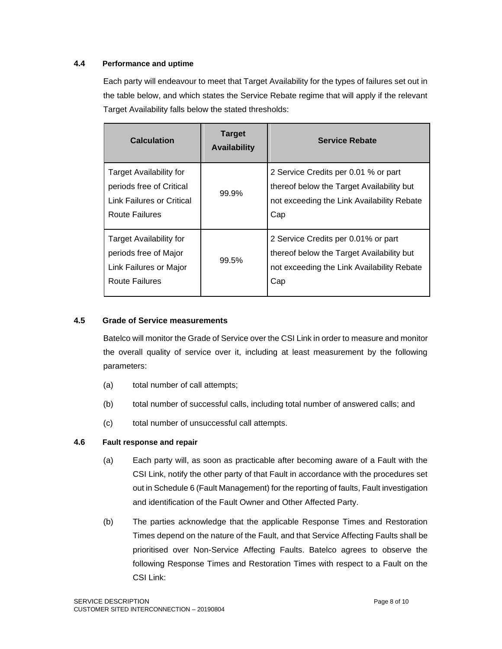# **4.4 Performance and uptime**

Each party will endeavour to meet that Target Availability for the types of failures set out in the table below, and which states the Service Rebate regime that will apply if the relevant Target Availability falls below the stated thresholds:

| <b>Calculation</b>                                                                                  | <b>Target</b><br><b>Availability</b> | <b>Service Rebate</b>                                                                                                                  |
|-----------------------------------------------------------------------------------------------------|--------------------------------------|----------------------------------------------------------------------------------------------------------------------------------------|
| Target Availability for<br>periods free of Critical<br>Link Failures or Critical<br>Route Failures  | 99.9%                                | 2 Service Credits per 0.01 % or part<br>thereof below the Target Availability but<br>not exceeding the Link Availability Rebate<br>Cap |
| <b>Target Availability for</b><br>periods free of Major<br>Link Failures or Major<br>Route Failures | 99.5%                                | 2 Service Credits per 0.01% or part<br>thereof below the Target Availability but<br>not exceeding the Link Availability Rebate<br>Cap  |

### **4.5 Grade of Service measurements**

Batelco will monitor the Grade of Service over the CSI Link in order to measure and monitor the overall quality of service over it, including at least measurement by the following parameters:

- (a) total number of call attempts;
- (b) total number of successful calls, including total number of answered calls; and
- (c) total number of unsuccessful call attempts.

#### **4.6 Fault response and repair**

- (a) Each party will, as soon as practicable after becoming aware of a Fault with the CSI Link, notify the other party of that Fault in accordance with the procedures set out in Schedule 6 (Fault Management) for the reporting of faults, Fault investigation and identification of the Fault Owner and Other Affected Party.
- (b) The parties acknowledge that the applicable Response Times and Restoration Times depend on the nature of the Fault, and that Service Affecting Faults shall be prioritised over Non-Service Affecting Faults. Batelco agrees to observe the following Response Times and Restoration Times with respect to a Fault on the CSI Link: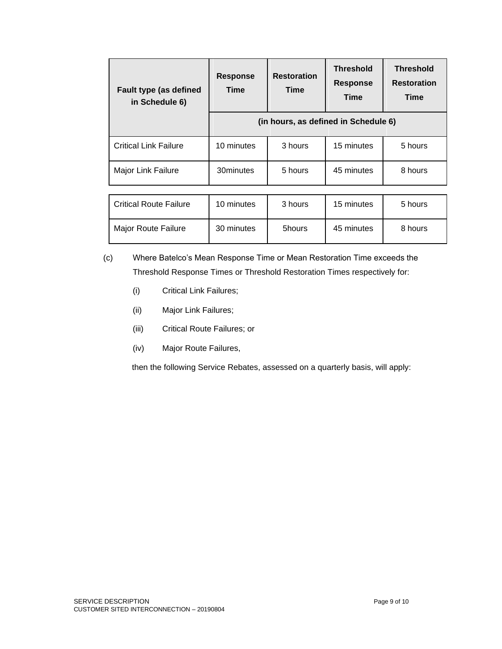| <b>Fault type (as defined</b><br>in Schedule 6) | <b>Response</b><br>Time              | <b>Restoration</b><br>Time | <b>Threshold</b><br><b>Response</b><br><b>Time</b> | <b>Threshold</b><br><b>Restoration</b><br>Time |
|-------------------------------------------------|--------------------------------------|----------------------------|----------------------------------------------------|------------------------------------------------|
|                                                 | (in hours, as defined in Schedule 6) |                            |                                                    |                                                |
| <b>Critical Link Failure</b>                    | 10 minutes                           | 3 hours                    | 15 minutes                                         | 5 hours                                        |
| <b>Major Link Failure</b>                       | 30minutes                            | 5 hours                    | 45 minutes                                         | 8 hours                                        |
|                                                 |                                      |                            |                                                    |                                                |
| <b>Critical Route Failure</b>                   | 10 minutes                           | 3 hours                    | 15 minutes                                         | 5 hours                                        |

| (c) | Where Batelco's Mean Response Time or Mean Restoration Time exceeds the   |
|-----|---------------------------------------------------------------------------|
|     | Threshold Response Times or Threshold Restoration Times respectively for: |

Major Route Failure | 30 minutes | 5hours | 45 minutes | 8 hours

- (i) Critical Link Failures;
- (ii) Major Link Failures;
- (iii) Critical Route Failures; or
- (iv) Major Route Failures,

then the following Service Rebates, assessed on a quarterly basis, will apply: